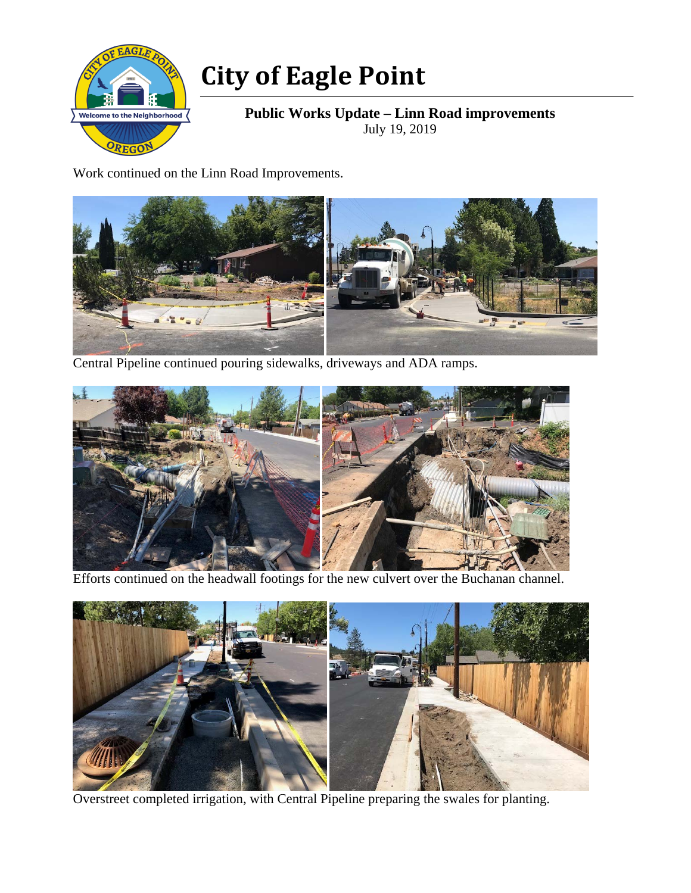

## **City of Eagle Point**

**Public Works Update – Linn Road improvements**  July 19, 2019

Work continued on the Linn Road Improvements.



Central Pipeline continued pouring sidewalks, driveways and ADA ramps.



Efforts continued on the headwall footings for the new culvert over the Buchanan channel.



Overstreet completed irrigation, with Central Pipeline preparing the swales for planting.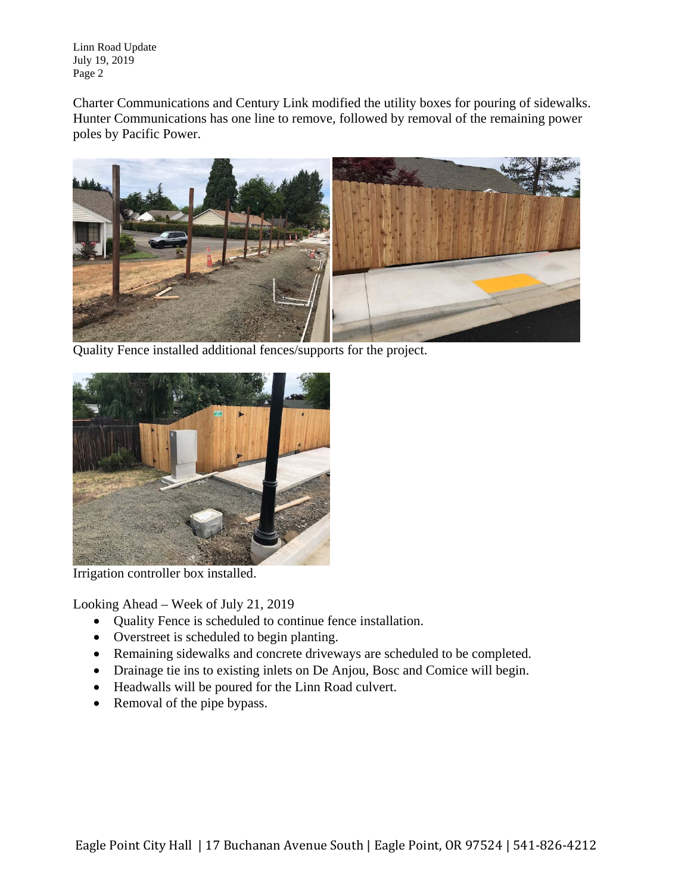Linn Road Update July 19, 2019 Page 2

Charter Communications and Century Link modified the utility boxes for pouring of sidewalks. Hunter Communications has one line to remove, followed by removal of the remaining power poles by Pacific Power.



Quality Fence installed additional fences/supports for the project.



Irrigation controller box installed.

Looking Ahead – Week of July 21, 2019

- Quality Fence is scheduled to continue fence installation.
- Overstreet is scheduled to begin planting.
- Remaining sidewalks and concrete driveways are scheduled to be completed.
- Drainage tie ins to existing inlets on De Anjou, Bosc and Comice will begin.
- Headwalls will be poured for the Linn Road culvert.
- Removal of the pipe bypass.